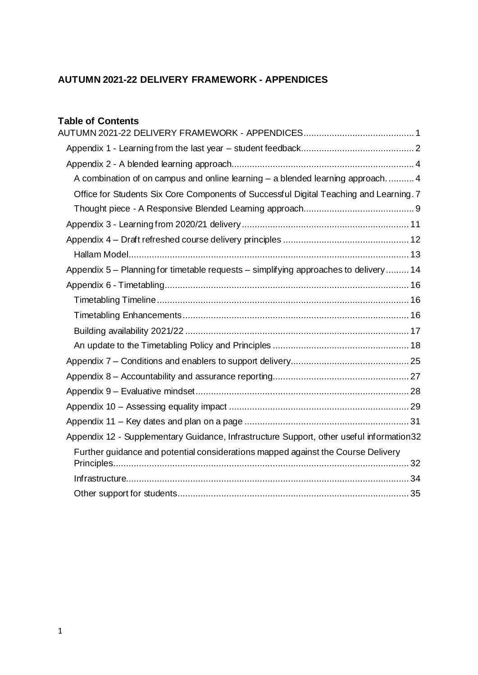## <span id="page-0-0"></span>**AUTUMN 2021-22 DELIVERY FRAMEWORK - APPENDICES**

## **Table of Contents**

| A combination of on campus and online learning - a blended learning approach 4            |
|-------------------------------------------------------------------------------------------|
| Office for Students Six Core Components of Successful Digital Teaching and Learning. 7    |
|                                                                                           |
|                                                                                           |
|                                                                                           |
|                                                                                           |
| Appendix 5 - Planning for timetable requests - simplifying approaches to delivery  14     |
|                                                                                           |
|                                                                                           |
|                                                                                           |
|                                                                                           |
|                                                                                           |
|                                                                                           |
|                                                                                           |
|                                                                                           |
|                                                                                           |
|                                                                                           |
| Appendix 12 - Supplementary Guidance, Infrastructure Support, other useful information 32 |
| Further guidance and potential considerations mapped against the Course Delivery          |
|                                                                                           |
|                                                                                           |
|                                                                                           |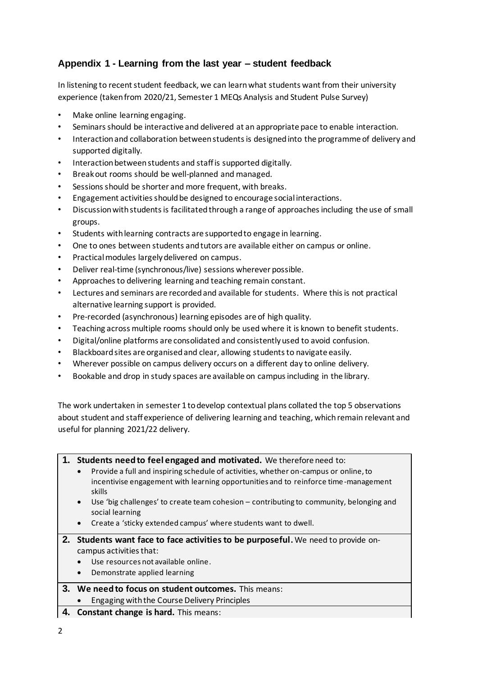## <span id="page-1-0"></span>**Appendix 1 - Learning from the last year – student feedback**

In listening to recent student feedback, we can learn what students want from their university experience (taken from 2020/21, Semester 1 MEQs Analysis and Student Pulse Survey)

- Make online learning engaging.
- Seminars should be interactive and delivered at an appropriate pace to enable interaction.
- Interaction and collaboration between students is designed into the programme of delivery and supported digitally.
- Interaction between students and staff is supported digitally.
- Break out rooms should be well-planned and managed.
- Sessions should be shorter and more frequent, with breaks.
- Engagement activities should be designed to encourage social interactions.
- Discussion with students is facilitated through a range of approaches including the use of small groups.
- Students with learning contracts are supported to engage in learning.
- One to ones between students and tutors are available either on campus or online.
- Practical modules largely delivered on campus.
- Deliver real-time (synchronous/live) sessions wherever possible.
- Approaches to delivering learning and teaching remain constant.
- Lectures and seminars are recorded and available for students. Where this is not practical alternative learning support is provided.
- Pre-recorded (asynchronous) learning episodes are of high quality.
- Teaching across multiple rooms should only be used where it is known to benefit students.
- Digital/online platforms are consolidated and consistently used to avoid confusion.
- Blackboard sites are organised and clear, allowing students to navigate easily.
- Wherever possible on campus delivery occurs on a different day to online delivery.
- Bookable and drop in study spaces are available on campus including in the library.

The work undertaken in semester 1 to develop contextual plans collated the top 5 observations about student and staff experience of delivering learning and teaching, which remain relevant and useful for planning 2021/22 delivery.

|  |  |  |  | 1. Students need to feel engaged and motivated. We therefore need to: |
|--|--|--|--|-----------------------------------------------------------------------|
|--|--|--|--|-----------------------------------------------------------------------|

- Provide a full and inspiring schedule of activities, whether on-campus or online, to incentivise engagement with learning opportunities and to reinforce time -management skills
- Use 'big challenges' to create team cohesion contributing to community, belonging and social learning
- Create a 'sticky extended campus' where students want to dwell.
- **2. Students want face to face activities to be purposeful.** We need to provide oncampus activities that:
	- Use resources not available online.
	- Demonstrate applied learning

### **3. We need to focus on student outcomes.** This means:

- Engaging with the Course Delivery Principles
- **4. Constant change is hard.** This means: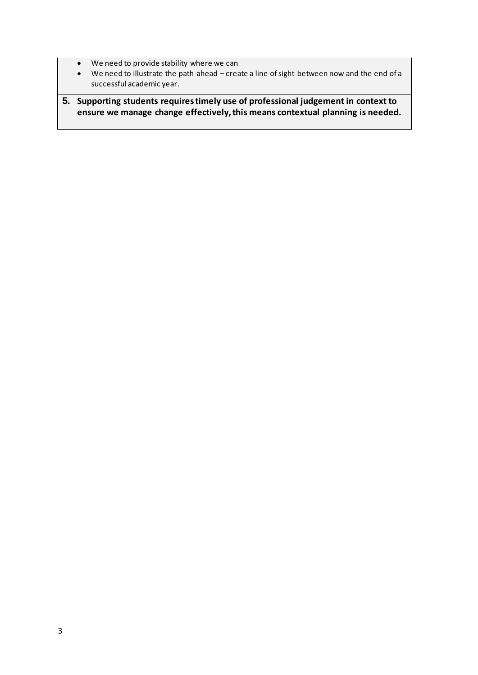- We need to provide stability where we can
- We need to illustrate the path ahead create a line of sight between now and the end of a successful academic year.

**5. Supporting students requires timely use of professional judgement in context to ensure we manage change effectively, this means contextual planning is needed.**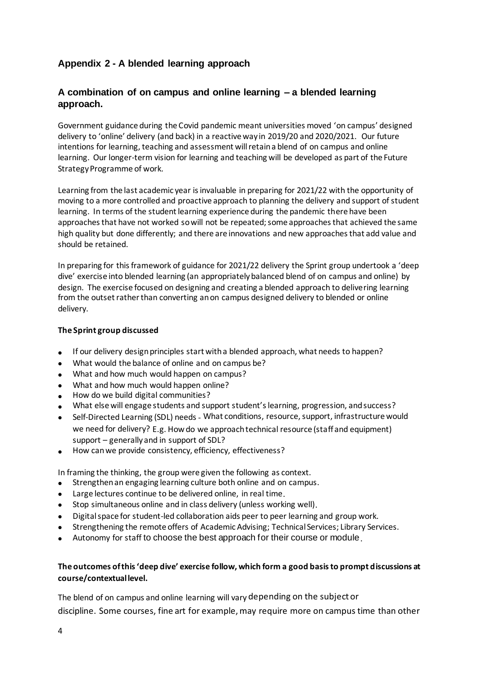## <span id="page-3-0"></span>**Appendix 2 - A blended learning approach**

## <span id="page-3-1"></span>**A combination of on campus and online learning – a blended learning approach.**

Government guidance during the Covid pandemic meant universities moved 'on campus' designed delivery to 'online' delivery (and back) in a reactive way in 2019/20 and 2020/2021. Our future intentions for learning, teaching and assessment will retain a blend of on campus and online learning. Our longer-term vision for learning and teaching will be developed as part of the Future Strategy Programme of work.

Learning from the last academic year is invaluable in preparing for 2021/22 with the opportunity of moving to a more controlled and proactive approach to planning the delivery and support of student learning. In terms of the student learning experience during the pandemic there have been approaches that have not worked so will not be repeated; some approaches that achieved the same high quality but done differently; and there are innovations and new approaches that add value and should be retained.

In preparing for this framework of guidance for 2021/22 delivery the Sprint group undertook a 'deep dive' exercise into blended learning (an appropriately balanced blend of on campus and online) by design. The exercise focused on designing and creating a blended approach to delivering learning from the outset rather than converting an on campus designed delivery to blended or online delivery.

#### **The Sprint group discussed**

- If our delivery design principles start with a blended approach, what needs to happen?
- What would the balance of online and on campus be?
- What and how much would happen on campus?
- What and how much would happen online?
- How do we build digital communities?
- What else will engage students and support student's learning, progression, and success?
- Self-Directed Learning (SDL) needs What conditions, resource, support, infrastructure would we need for delivery? E.g. How do we approach technical resource (staff and equipment) support – generally and in support of SDL?
- How can we provide consistency, efficiency, effectiveness?

In framing the thinking, the group were given the following as context.

- Strengthen an engaging learning culture both online and on campus.
- Large lectures continue to be delivered online, in real time.
- Stop simultaneous online and in class delivery (unless working well).
- Digital space for student-led collaboration aids peer to peer learning and group work.
- Strengthening the remote offers of Academic Advising; Technical Services; Library Services.
- Autonomy for staff to choose the best approach for their course or module.

### **The outcomes of this 'deep dive' exercise follow, which form a good basis to prompt discussions at course/contextual level.**

The blend of on campus and online learning will vary depending on the subject or discipline. Some courses, fine art for example, may require more on campus time than other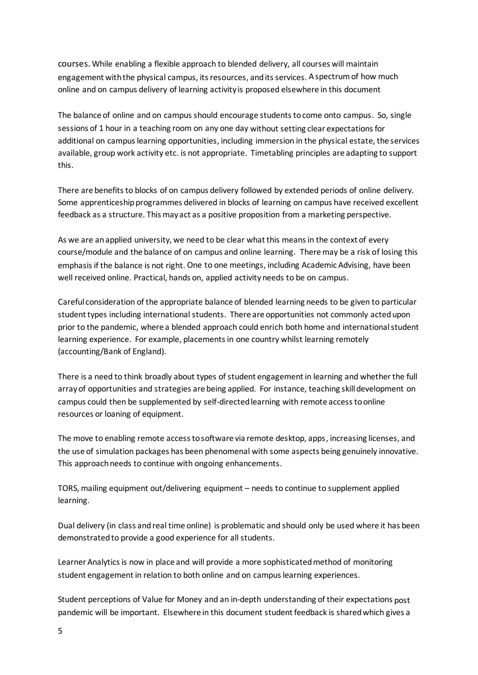courses. While enabling a flexible approach to blended delivery, all courses will maintain engagement with the physical campus, its resources, and its services. A spectrumof how much online and on campus delivery of learning activity is proposed elsewhere in this document

The balance of online and on campus should encourage students to come onto campus. So, single sessions of 1 hour in a teaching room on any one day without setting clear expectations for additional on campus learning opportunities, including immersion in the physical estate, the services available, group work activity etc. is not appropriate. Timetabling principles are adapting to support this.

There are benefits to blocks of on campus delivery followed by extended periods of online delivery. Some apprenticeshipprogrammes delivered in blocks of learning on campus have received excellent feedback as a structure. This may act as a positive proposition from a marketing perspective.

As we are an applied university, we need to be clear what this means in the context of every course/module and the balance of on campus and online learning. There may be a risk of losing this emphasis if the balance is not right. One to one meetings, including Academic Advising, have been well received online. Practical, hands on, applied activity needs to be on campus.

Careful consideration of the appropriate balance of blended learning needs to be given to particular student types including international students. There are opportunities not commonly acted upon prior to the pandemic, where a blended approach could enrich both home and international student learning experience. For example, placementsin one country whilst learning remotely (accounting/Bank of England).

There is a need to think broadly about types of student engagement in learning and whether the full array of opportunities and strategies are being applied. For instance, teaching skill development on campus could then be supplemented by self-directed learning with remote access to online resources or loaning of equipment.

The move to enabling remote access to software via remote desktop, apps, increasing licenses, and the use of simulation packages has been phenomenal with some aspects being genuinely innovative. This approach needs to continue with ongoing enhancements.

TORS, mailing equipment out/delivering equipment – needs to continue to supplement applied learning.

Dual delivery (in class and real time online) is problematic and should only be used where it has been demonstrated to provide a good experience for all students.

Learner Analytics is now in place and will provide a more sophisticated method of monitoring student engagement in relation to both online and on campus learning experiences.

Student perceptions of Value for Money and an in-depth understanding of their expectations post pandemic will be important. Elsewhere in this document student feedback is shared which gives a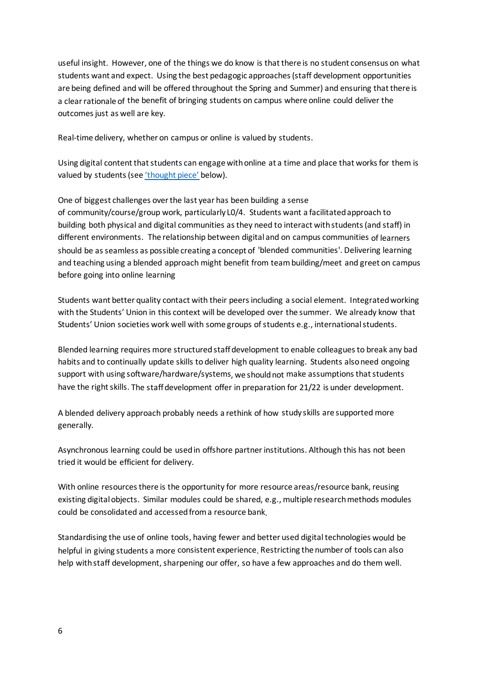useful insight. However, one of the things we do know is that there is no student consensus on what students want and expect. Using the best pedagogic approaches (staff development opportunities are being defined and will be offered throughout the Spring and Summer) and ensuring that there is a clear rationale of the benefit of bringing students on campus where online could deliver the outcomes just as well are key.

Real-time delivery, whether on campus or online is valued by students.

Using digital content that students can engage with online at a time and place that works for them is valued by students (see ['thought piece'](#page-8-0) below).

One of biggest challenges over the last year has been building a sense

of community/course/group work, particularly L0/4. Students want a facilitated approach to building both physical and digital communities as they need to interact with students (and staff) in different environments. The relationship between digital and on campus communities of learners should be as seamless as possible creating a concept of 'blended communities'. Delivering learning and teaching using a blended approach might benefit from teambuilding/meet and greet on campus before going into online learning

Students want better quality contact with their peers including a social element. Integrated working with the Students' Union in this context will be developed over the summer. We already know that Students' Union societies work well with some groups of students e.g., international students.

Blended learning requires more structured staffdevelopment to enable colleagues to break any bad habits and to continually update skills to deliver high quality learning. Students also need ongoing support with using software/hardware/systems, we should not make assumptions that students have the right skills. The staff development offer in preparation for 21/22 is under development.

A blended delivery approach probably needs a rethink of how study skills are supported more generally.

Asynchronous learning could be used in offshore partner institutions. Although this has not been tried it would be efficient for delivery.

With online resources there is the opportunity for more resource areas/resource bank, reusing existing digital objects. Similar modules could be shared, e.g., multiple research methods modules could be consolidated and accessed from a resource bank.

Standardising the use of online tools, having fewer and better used digital technologies would be helpful in giving students a more consistent experience. Restricting the number of tools can also help with staff development, sharpening our offer, so have a few approaches and do them well.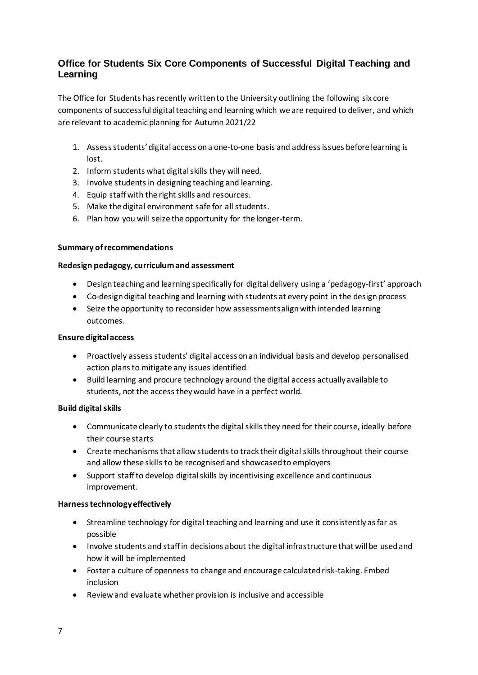## <span id="page-6-0"></span>**Office for Students Six Core Components of Successful Digital Teaching and Learning**

The Office for Students has recently written to the University outlining the following six core components of successful digital teaching and learning which we are required to deliver, and which are relevant to academic planning for Autumn 2021/22

- 1. Assess students' digital access on a one-to-one basis and address issues before learning is lost.
- 2. Inform students what digital skills they will need.
- 3. Involve students in designing teaching and learning.
- 4. Equip staff with the right skills and resources.
- 5. Make the digital environment safe for all students.
- 6. Plan how you will seize the opportunity for the longer-term.

#### **Summary of recommendations**

#### **Redesign pedagogy, curriculum and assessment**

- Design teaching and learning specifically for digital delivery using a 'pedagogy-first' approach
- Co-design digital teaching and learning with students at every point in the design process
- Seize the opportunity to reconsider how assessments align with intended learning outcomes.

#### **Ensure digital access**

- Proactively assess students' digital access on an individual basis and develop personalised action plans to mitigate any issues identified
- Build learning and procure technology around the digital access actually available to students, not the access they would have in a perfect world.

### **Build digital skills**

- Communicate clearly to students the digital skills they need for their course, ideally before their course starts
- Create mechanisms that allow students to track their digital skills throughout their course and allow these skills to be recognised and showcased to employers
- Support staff to develop digital skills by incentivising excellence and continuous improvement.

### **Harness technology effectively**

- Streamline technology for digital teaching and learning and use it consistently as far as possible
- Involve students and staff in decisions about the digital infrastructure that will be used and how it will be implemented
- Foster a culture of openness to change and encourage calculated risk-taking. Embed inclusion
- Review and evaluate whether provision is inclusive and accessible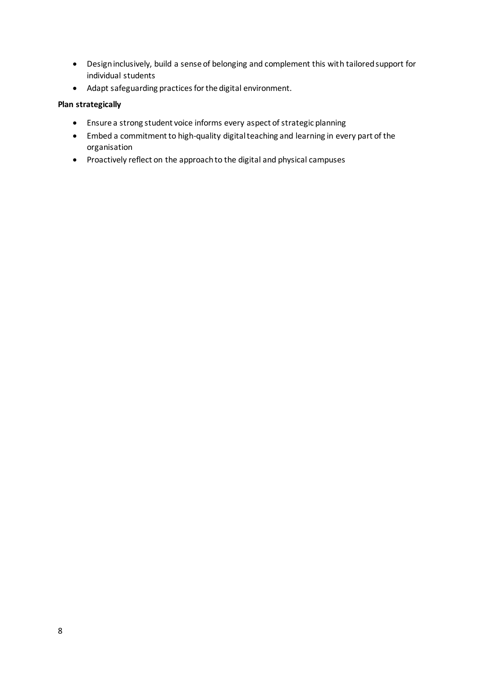- Design inclusively, build a sense of belonging and complement this with tailored support for individual students
- Adapt safeguarding practices for the digital environment.

### **Plan strategically**

- Ensure a strong student voice informs every aspect of strategic planning
- Embed a commitment to high-quality digital teaching and learning in every part of the organisation
- Proactively reflect on the approach to the digital and physical campuses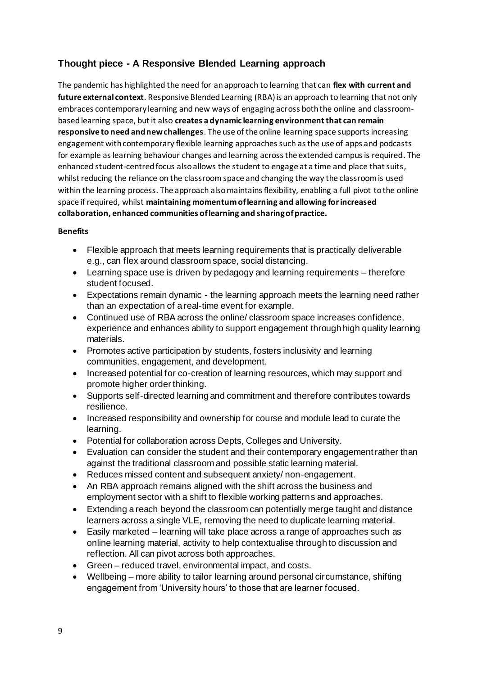## <span id="page-8-0"></span>**Thought piece - A Responsive Blended Learning approach**

The pandemic has highlighted the need for an approach to learning that can **flex with current and future external context**. Responsive Blended Learning (RBA) is an approach to learning that not only embraces contemporary learning and new ways of engaging across both the online and classroombased learning space, but it also **creates a dynamic learning environment that can remain responsive to need and new challenges**. The use of the online learning space supports increasing engagement with contemporary flexible learning approaches such as the use of apps and podcasts for example as learning behaviour changes and learning across the extended campus is required. The enhanced student-centred focus also allows the student to engage at a time and place that suits, whilst reducing the reliance on the classroom space and changing the way the classroom is used within the learning process. The approach also maintains flexibility, enabling a full pivot to the online space if required, whilst **maintaining momentumof learning and allowing for increased collaboration, enhanced communities of learning and sharing of practice.** 

### **Benefits**

- Flexible approach that meets learning requirements that is practically deliverable e.g., can flex around classroom space, social distancing.
- Learning space use is driven by pedagogy and learning requirements therefore student focused.
- Expectations remain dynamic the learning approach meets the learning need rather than an expectation of a real-time event for example.
- Continued use of RBA across the online/ classroom space increases confidence, experience and enhances ability to support engagement through high quality learning materials.
- Promotes active participation by students, fosters inclusivity and learning communities, engagement, and development.
- Increased potential for co-creation of learning resources, which may support and promote higher order thinking.
- Supports self-directed learning and commitment and therefore contributes towards resilience.
- Increased responsibility and ownership for course and module lead to curate the learning.
- Potential for collaboration across Depts, Colleges and University.
- Evaluation can consider the student and their contemporary engagement rather than against the traditional classroom and possible static learning material.
- Reduces missed content and subsequent anxiety/ non-engagement.
- An RBA approach remains aligned with the shift across the business and employment sector with a shift to flexible working patterns and approaches.
- Extending a reach beyond the classroom can potentially merge taught and distance learners across a single VLE, removing the need to duplicate learning material.
- Easily marketed learning will take place across a range of approaches such as online learning material, activity to help contextualise through to discussion and reflection. All can pivot across both approaches.
- Green reduced travel, environmental impact, and costs.
- Wellbeing more ability to tailor learning around personal circumstance, shifting engagement from 'University hours' to those that are learner focused.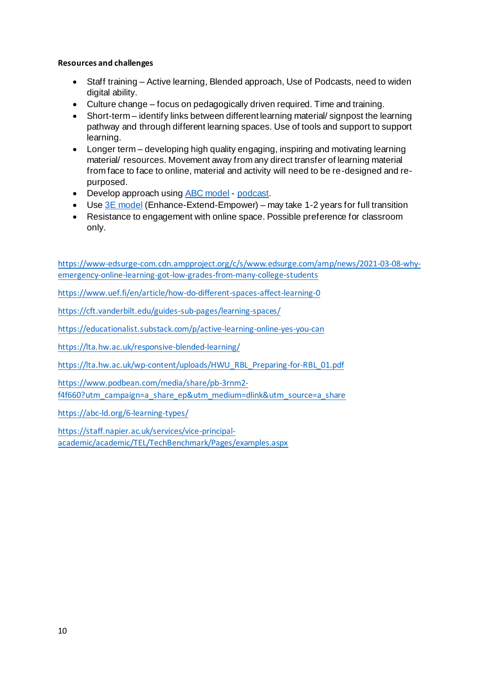### **Resources and challenges**

- Staff training Active learning, Blended approach, Use of Podcasts, need to widen digital ability.
- Culture change focus on pedagogically driven required. Time and training.
- Short-term identify links between different learning material/ signpost the learning pathway and through different learning spaces. Use of tools and support to support learning.
- Longer term developing high quality engaging, inspiring and motivating learning material/ resources. Movement away from any direct transfer of learning material from face to face to online, material and activity will need to be re-designed and repurposed.
- Develop approach using **ABC** model [podcast.](https://www.podbean.com/media/share/pb-3rnm2-f4f660?utm_campaign=a_share_ep&utm_medium=dlink&utm_source=a_share)
- Use  $3E$  model (Enhance-Extend-Empower) may take 1-2 years for full transition
- Resistance to engagement with online space. Possible preference for classroom only.

[https://www-edsurge-com.cdn.ampproject.org/c/s/www.edsurge.com/amp/news/2021-03-08-why](https://www-edsurge-com.cdn.ampproject.org/c/s/www.edsurge.com/amp/news/2021-03-08-why-emergency-online-learning-got-low-grades-from-many-college-students)[emergency-online-learning-got-low-grades-from-many-college-students](https://www-edsurge-com.cdn.ampproject.org/c/s/www.edsurge.com/amp/news/2021-03-08-why-emergency-online-learning-got-low-grades-from-many-college-students)

<https://www.uef.fi/en/article/how-do-different-spaces-affect-learning-0>

<https://cft.vanderbilt.edu/guides-sub-pages/learning-spaces/>

<https://educationalist.substack.com/p/active-learning-online-yes-you-can>

<https://lta.hw.ac.uk/responsive-blended-learning/>

[https://lta.hw.ac.uk/wp-content/uploads/HWU\\_RBL\\_Preparing-for-RBL\\_01.pdf](https://lta.hw.ac.uk/wp-content/uploads/HWU_RBL_Preparing-for-RBL_01.pdf)

[https://www.podbean.com/media/share/pb-3rnm2-](https://www.podbean.com/media/share/pb-3rnm2-f4f660?utm_campaign=a_share_ep&utm_medium=dlink&utm_source=a_share)

[f4f660?utm\\_campaign=a\\_share\\_ep&utm\\_medium=dlink&utm\\_source=a\\_share](https://www.podbean.com/media/share/pb-3rnm2-f4f660?utm_campaign=a_share_ep&utm_medium=dlink&utm_source=a_share)

<https://abc-ld.org/6-learning-types/>

[https://staff.napier.ac.uk/services/vice-principal](https://staff.napier.ac.uk/services/vice-principal-academic/academic/TEL/TechBenchmark/Pages/examples.aspx)[academic/academic/TEL/TechBenchmark/Pages/examples.aspx](https://staff.napier.ac.uk/services/vice-principal-academic/academic/TEL/TechBenchmark/Pages/examples.aspx)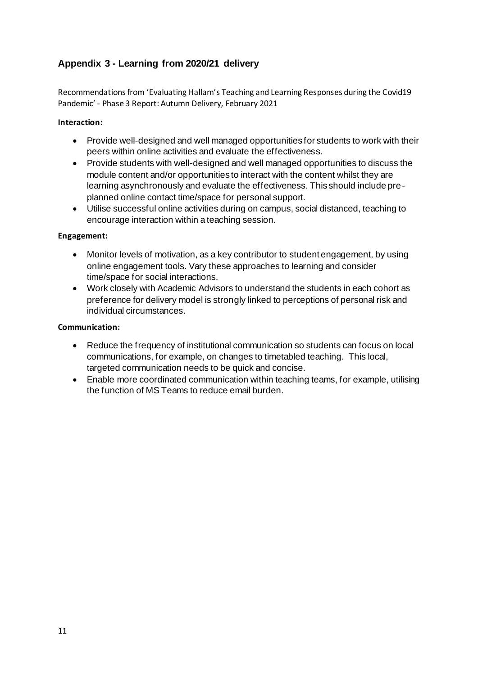## <span id="page-10-0"></span>**Appendix 3 - Learning from 2020/21 delivery**

Recommendations from 'Evaluating Hallam's Teaching and Learning Responses during the Covid19 Pandemic' - Phase 3 Report: Autumn Delivery, February 2021

### **Interaction:**

- Provide well-designed and well managed opportunities for students to work with their peers within online activities and evaluate the effectiveness.
- Provide students with well-designed and well managed opportunities to discuss the module content and/or opportunities to interact with the content whilst they are learning asynchronously and evaluate the effectiveness. This should include preplanned online contact time/space for personal support.
- Utilise successful online activities during on campus, social distanced, teaching to encourage interaction within a teaching session.

### **Engagement:**

- Monitor levels of motivation, as a key contributor to student engagement, by using online engagement tools. Vary these approaches to learning and consider time/space for social interactions.
- Work closely with Academic Advisors to understand the students in each cohort as preference for delivery model is strongly linked to perceptions of personal risk and individual circumstances.

### **Communication:**

- Reduce the frequency of institutional communication so students can focus on local communications, for example, on changes to timetabled teaching. This local, targeted communication needs to be quick and concise.
- Enable more coordinated communication within teaching teams, for example, utilising the function of MS Teams to reduce email burden.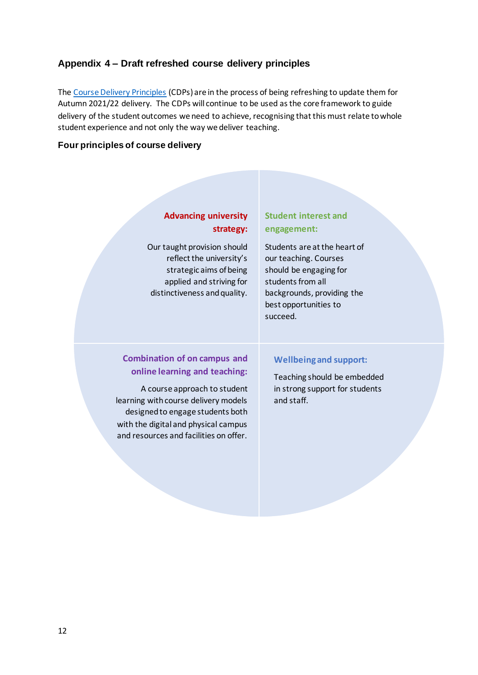## <span id="page-11-0"></span>**Appendix 4 – Draft refreshed course delivery principles**

The [Course Delivery Principles](https://sheffieldhallam.sharepoint.com/sites/4074/SitePages/Autumn-2020.aspx) (CDPs) are in the process of being refreshing to update them for Autumn 2021/22 delivery. The CDPs will continue to be used as the core framework to guide delivery of the student outcomes we need to achieve, recognising that this must relate to whole student experience and not only the way we deliver teaching.

### **Four principles of course delivery**

## **Advancing university strategy:**

Our taught provision should reflect the university's strategic aims of being applied and striving for distinctiveness and quality.

## **Student interest and engagement:**

Students are at the heart of our teaching. Courses should be engaging for students from all backgrounds, providing the best opportunities to succeed.

## **Combination of on campus and online learning and teaching:**

A course approach to student learning with course delivery models designed to engage students both with the digital and physical campus and resources and facilities on offer.

#### **Wellbeing and support:**

Teaching should be embedded in strong support for students and staff.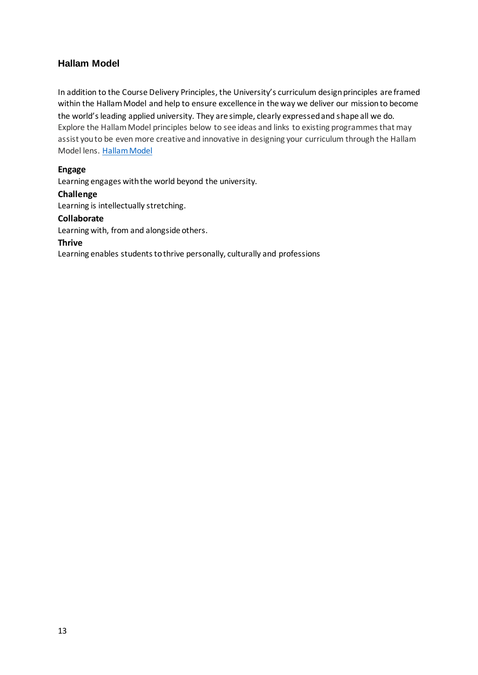## <span id="page-12-0"></span>**Hallam Model**

In addition to the Course Delivery Principles, the University's curriculum design principles are framed within the Hallam Model and help to ensure excellence in the way we deliver our mission to become the world's leading applied university. They are simple, clearly expressed and shape all we do. Explore the Hallam Model principles below to see ideas and links to existing programmes that may assist you to be even more creative and innovative in designing your curriculum through the Hallam Model lens. [Hallam Model](https://sheffieldhallam.sharepoint.com/sites/4038)

### **Engage**

Learning engages with the world beyond the university.

### **Challenge**

Learning is intellectually stretching.

### **Collaborate**

Learning with, from and alongside others.

### **Thrive**

Learning enables students to thrive personally, culturally and professions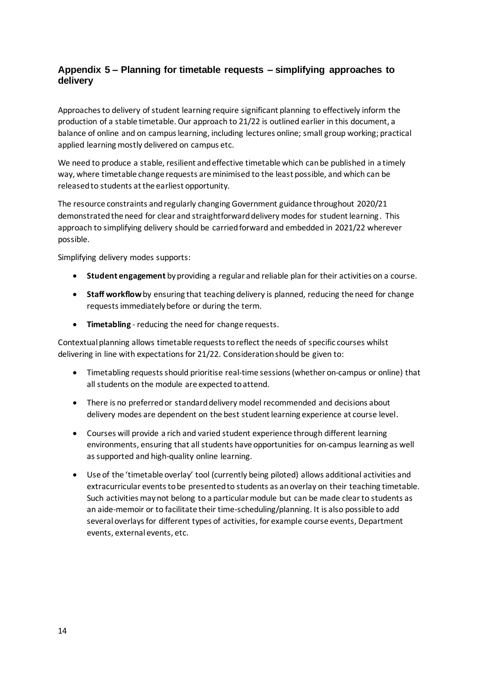## <span id="page-13-0"></span>**Appendix 5 – Planning for timetable requests – simplifying approaches to delivery**

Approaches to delivery of student learning require significant planning to effectively inform the production of a stable timetable. Our approach to 21/22 is outlined earlier in this document, a balance of online and on campus learning, including lectures online; small group working; practical applied learning mostly delivered on campus etc.

We need to produce a stable, resilient and effective timetable which can be published in a timely way, where timetable change requests are minimised to the least possible, and which can be released to students at the earliest opportunity.

The resource constraints and regularly changing Government guidance throughout 2020/21 demonstrated the need for clear and straightforward delivery modes for student learning. This approach to simplifying delivery should be carried forward and embedded in 2021/22 wherever possible.

Simplifying delivery modes supports:

- **Student engagement** by providing a regular and reliable plan for their activities on a course.
- **Staff workflow**by ensuring that teaching delivery is planned, reducing the need for change requests immediately before or during the term.
- **Timetabling** reducing the need for change requests.

Contextual planning allows timetable requests to reflect the needs of specific courses whilst delivering in line with expectations for 21/22. Consideration should be given to:

- Timetabling requests should prioritise real-time sessions (whether on-campus or online) that all students on the module are expected to attend.
- There is no preferred or standard delivery model recommended and decisions about delivery modes are dependent on the best student learning experience at course level.
- Courses will provide a rich and varied student experience through different learning environments, ensuring that all students have opportunities for on-campus learning as well as supported and high-quality online learning.
- Use of the 'timetable overlay' tool (currently being piloted) allows additional activities and extracurricular events to be presented to students as an overlay on their teaching timetable. Such activities may not belong to a particular module but can be made clearto students as an aide-memoir or to facilitate their time-scheduling/planning. It is also possible to add several overlays for different types of activities, for example course events, Department events, external events, etc.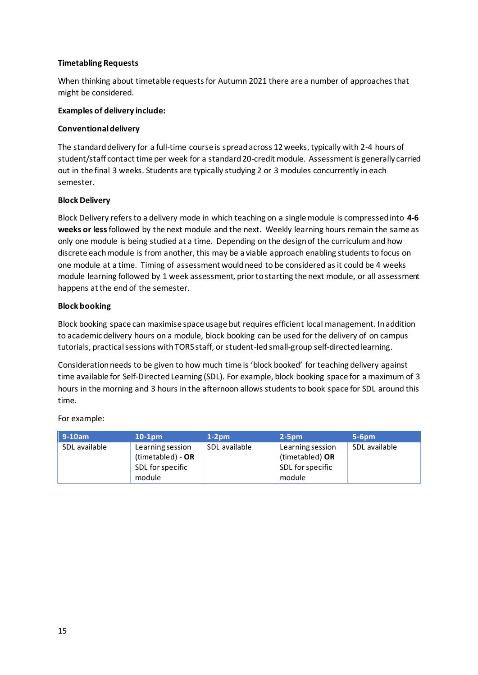#### **Timetabling Requests**

When thinking about timetable requests for Autumn 2021 there are a number of approaches that might be considered.

#### **Examples of delivery include:**

#### **Conventional delivery**

The standard delivery for a full-time course is spread across 12 weeks, typically with 2-4 hours of student/staff contact time per week for a standard 20-credit module. Assessment is generally carried out in the final 3 weeks. Students are typically studying 2 or 3 modules concurrently in each semester.

#### **Block Delivery**

Block Delivery refers to a delivery mode in which teaching on a single module is compressed into **4-6 weeks or less** followed by the next module and the next. Weekly learning hours remain the same as only one module is being studied at a time. Depending on the design of the curriculum and how discrete each module is from another, this may be a viable approach enabling students to focus on one module at a time. Timing of assessment would need to be considered as it could be 4 weeks module learning followed by 1 week assessment, prior to starting the next module, or all assessment happens at the end of the semester.

#### **Block booking**

Block booking space can maximise space usage but requires efficient local management. In addition to academic delivery hours on a module, block booking can be used for the delivery of on campus tutorials, practical sessions with TORS staff, or student-led small-group self-directed learning.

Consideration needs to be given to how much time is 'block booked' for teaching delivery against time available for Self-Directed Learning (SDL). For example, block booking space for a maximum of 3 hours in the morning and 3 hours in the afternoon allows students to book space for SDL around this time.

For example:

| $9-10am$      | $10-1pm$                                                            | $1-2pm$       | $2-5$ pm                                                          | $5-6$ pm      |
|---------------|---------------------------------------------------------------------|---------------|-------------------------------------------------------------------|---------------|
| SDL available | Learning session<br>(timetabled) - OR<br>SDL for specific<br>module | SDL available | Learning session<br>(timetabled) OR<br>SDL for specific<br>module | SDL available |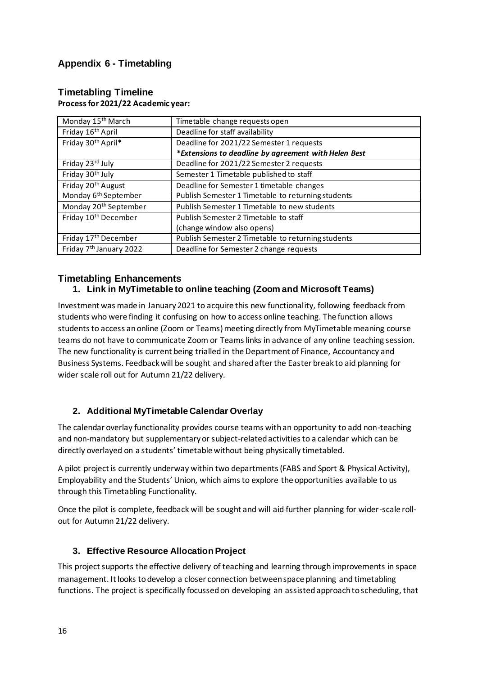## <span id="page-15-0"></span>**Appendix 6 - Timetabling**

| Monday 15 <sup>th</sup> March       | Timetable change requests open                       |
|-------------------------------------|------------------------------------------------------|
| Friday 16 <sup>th</sup> April       | Deadline for staff availability                      |
| Friday 30 <sup>th</sup> April*      | Deadline for 2021/22 Semester 1 requests             |
|                                     | *Extensions to deadline by agreement with Helen Best |
| Friday 23rd July                    | Deadline for 2021/22 Semester 2 requests             |
| Friday 30 <sup>th</sup> July        | Semester 1 Timetable published to staff              |
| Friday 20 <sup>th</sup> August      | Deadline for Semester 1 timetable changes            |
| Monday 6 <sup>th</sup> September    | Publish Semester 1 Timetable to returning students   |
| Monday 20 <sup>th</sup> September   | Publish Semester 1 Timetable to new students         |
| Friday 10 <sup>th</sup> December    | Publish Semester 2 Timetable to staff                |
|                                     | (change window also opens)                           |
| Friday 17 <sup>th</sup> December    | Publish Semester 2 Timetable to returning students   |
| Friday 7 <sup>th</sup> January 2022 | Deadline for Semester 2 change requests              |

#### <span id="page-15-1"></span>**Timetabling Timeline Process for 2021/22 Academic year:**

## <span id="page-15-2"></span>**Timetabling Enhancements**

## **1. Link in MyTimetable to online teaching (Zoom and Microsoft Teams)**

Investment was made in January 2021 to acquire this new functionality, following feedback from students who were finding it confusing on how to access online teaching. The function allows students to access an online (Zoom or Teams) meeting directly from MyTimetable meaning course teams do not have to communicate Zoom or Teams links in advance of any online teaching session. The new functionality is current being trialled in the Department of Finance, Accountancy and Business Systems. Feedback will be sought and shared after the Easter break to aid planning for wider scale roll out for Autumn 21/22 delivery.

## **2. Additional MyTimetable Calendar Overlay**

The calendar overlay functionality provides course teams with an opportunity to add non-teaching and non-mandatory but supplementary or subject-related activities to a calendar which can be directly overlayed on a students' timetable without being physically timetabled.

A pilot project is currently underway within two departments (FABS and Sport & Physical Activity), Employability and the Students' Union, which aims to explore the opportunities available to us through this Timetabling Functionality.

Once the pilot is complete, feedback will be sought and will aid further planning for wider-scale rollout for Autumn 21/22 delivery.

## **3. Effective Resource Allocation Project**

This project supports the effective delivery of teaching and learning through improvements in space management. It looks to develop a closer connection between space planning and timetabling functions. The project is specifically focussed on developing an assisted approach to scheduling, that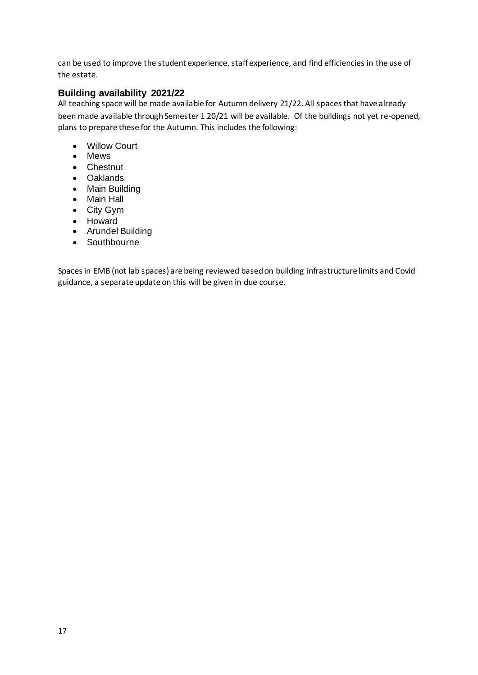can be used to improve the student experience, staff experience, and find efficiencies in the use of the estate.

## <span id="page-16-0"></span>**Building availability 2021/22**

All teaching space will be made available for Autumn delivery 21/22. All spaces that have already been made available through Semester 1 20/21 will be available. Of the buildings not yet re-opened, plans to prepare these for the Autumn. This includes the following:

- Willow Court
- Mews
- Chestnut
- Oaklands
- Main Building
- Main Hall
- City Gym
- Howard
- Arundel Building
- Southbourne

Spaces in EMB (not lab spaces) are being reviewed based on building infrastructure limits and Covid guidance, a separate update on this will be given in due course.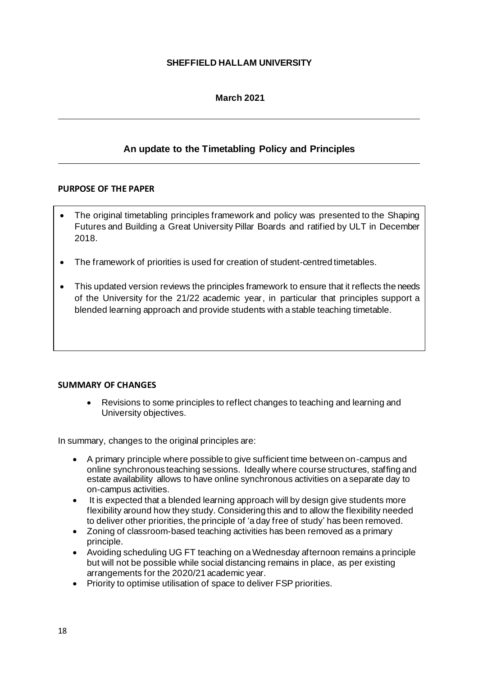### **SHEFFIELD HALLAM UNIVERSITY**

## **March 2021**

## **An update to the Timetabling Policy and Principles**

#### <span id="page-17-0"></span>**PURPOSE OF THE PAPER**

- The original timetabling principles framework and policy was presented to the Shaping Futures and Building a Great University Pillar Boards and ratified by ULT in December 2018.
- The framework of priorities is used for creation of student-centred timetables.
- This updated version reviews the principles framework to ensure that it reflects the needs of the University for the 21/22 academic year, in particular that principles support a blended learning approach and provide students with a stable teaching timetable.

### **SUMMARY OF CHANGES**

• Revisions to some principles to reflect changes to teaching and learning and University objectives.

In summary, changes to the original principles are:

- A primary principle where possible to give sufficient time between on-campus and online synchronous teaching sessions. Ideally where course structures, staffing and estate availability allows to have online synchronous activities on a separate day to on-campus activities.
- It is expected that a blended learning approach will by design give students more flexibility around how they study. Considering this and to allow the flexibility needed to deliver other priorities, the principle of 'a day free of study' has been removed.
- Zoning of classroom-based teaching activities has been removed as a primary principle.
- Avoiding scheduling UG FT teaching on a Wednesday afternoon remains a principle but will not be possible while social distancing remains in place, as per existing arrangements for the 2020/21 academic year.
- Priority to optimise utilisation of space to deliver FSP priorities.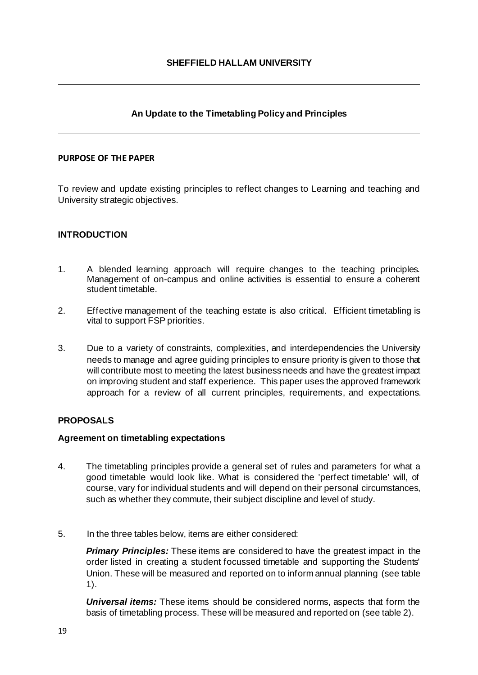## **An Update to the Timetabling Policy and Principles**

#### **PURPOSE OF THE PAPER**

To review and update existing principles to reflect changes to Learning and teaching and University strategic objectives.

### **INTRODUCTION**

- 1. A blended learning approach will require changes to the teaching principles. Management of on-campus and online activities is essential to ensure a coherent student timetable.
- 2. Effective management of the teaching estate is also critical. Efficient timetabling is vital to support FSP priorities.
- 3. Due to a variety of constraints, complexities, and interdependencies the University needs to manage and agree guiding principles to ensure priority is given to those that will contribute most to meeting the latest business needs and have the greatest impact on improving student and staff experience. This paper uses the approved framework approach for a review of all current principles, requirements, and expectations.

### **PROPOSALS**

#### **Agreement on timetabling expectations**

- 4. The timetabling principles provide a general set of rules and parameters for what a good timetable would look like. What is considered the 'perfect timetable' will, of course, vary for individual students and will depend on their personal circumstances, such as whether they commute, their subject discipline and level of study.
- 5. In the three tables below, items are either considered:

*Primary Principles:* These items are considered to have the greatest impact in the order listed in creating a student focussed timetable and supporting the Students' Union. These will be measured and reported on to inform annual planning (see table 1).

*Universal items:* These items should be considered norms, aspects that form the basis of timetabling process. These will be measured and reported on (see table 2).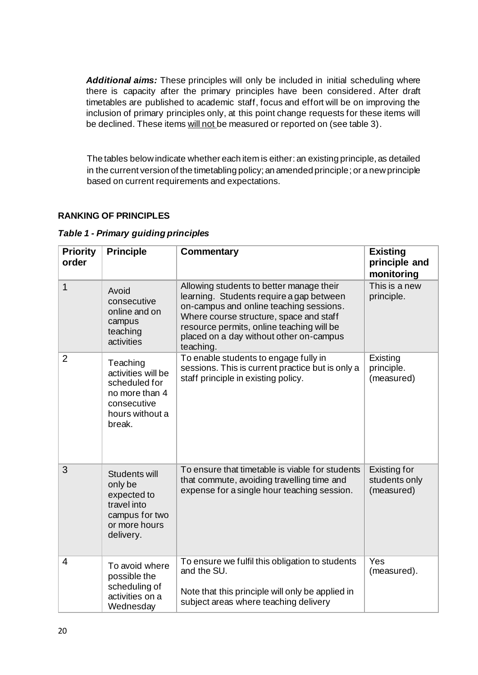*Additional aims:* These principles will only be included in initial scheduling where there is capacity after the primary principles have been considered. After draft timetables are published to academic staff, focus and effort will be on improving the inclusion of primary principles only, at this point change requests for these items will be declined. These items will not be measured or reported on (see table 3).

The tables below indicate whether each item is either: an existing principle, as detailed in the current version of the timetabling policy; an amended principle; or a new principle based on current requirements and expectations.

## **RANKING OF PRINCIPLES**

|  |   |  |  | Table 1 - Primary guiding principles |  |
|--|---|--|--|--------------------------------------|--|
|  | . |  |  |                                      |  |

| <b>Priority</b><br>order | <b>Principle</b>                                                                                                                                                                                                                                                                                                                                             | <b>Commentary</b>                                                                                                                                           | <b>Existing</b><br>principle and<br>monitoring |
|--------------------------|--------------------------------------------------------------------------------------------------------------------------------------------------------------------------------------------------------------------------------------------------------------------------------------------------------------------------------------------------------------|-------------------------------------------------------------------------------------------------------------------------------------------------------------|------------------------------------------------|
| 1                        | Allowing students to better manage their<br>Avoid<br>learning. Students require a gap between<br>consecutive<br>on-campus and online teaching sessions.<br>online and on<br>Where course structure, space and staff<br>campus<br>resource permits, online teaching will be<br>teaching<br>placed on a day without other on-campus<br>activities<br>teaching. |                                                                                                                                                             | This is a new<br>principle.                    |
| $\overline{2}$           | Teaching<br>activities will be<br>scheduled for<br>no more than 4<br>consecutive<br>hours without a<br>break.                                                                                                                                                                                                                                                | To enable students to engage fully in<br>sessions. This is current practice but is only a<br>staff principle in existing policy.                            | Existing<br>principle.<br>(measured)           |
| 3                        | Students will<br>only be<br>expected to<br>travel into<br>campus for two<br>or more hours<br>delivery.                                                                                                                                                                                                                                                       | To ensure that timetable is viable for students<br>that commute, avoiding travelling time and<br>expense for a single hour teaching session.                |                                                |
| $\overline{4}$           | To avoid where<br>possible the<br>scheduling of<br>activities on a<br>Wednesday                                                                                                                                                                                                                                                                              | To ensure we fulfil this obligation to students<br>and the SU.<br>Note that this principle will only be applied in<br>subject areas where teaching delivery | Yes<br>(measured).                             |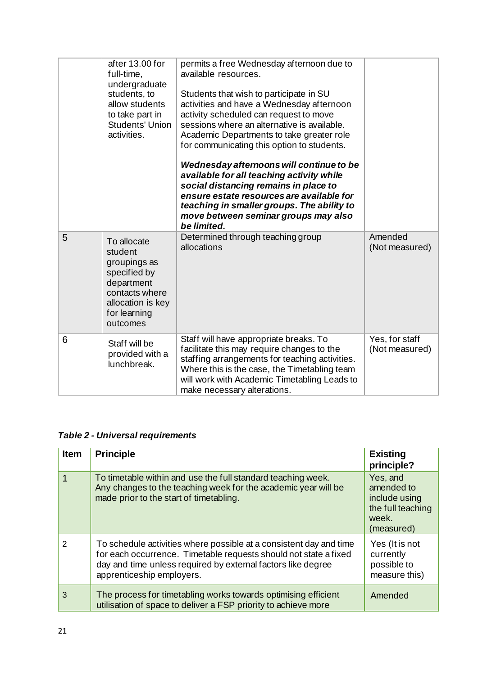|   | after 13.00 for<br>full-time,<br>undergraduate<br>students, to<br>allow students<br>to take part in<br><b>Students' Union</b><br>activities. | permits a free Wednesday afternoon due to<br>available resources.<br>Students that wish to participate in SU<br>activities and have a Wednesday afternoon<br>activity scheduled can request to move<br>sessions where an alternative is available.<br>Academic Departments to take greater role<br>for communicating this option to students.<br>Wednesday afternoons will continue to be<br>available for all teaching activity while<br>social distancing remains in place to<br>ensure estate resources are available for<br>teaching in smaller groups. The ability to<br>move between seminar groups may also<br>be limited. |                                  |
|---|----------------------------------------------------------------------------------------------------------------------------------------------|-----------------------------------------------------------------------------------------------------------------------------------------------------------------------------------------------------------------------------------------------------------------------------------------------------------------------------------------------------------------------------------------------------------------------------------------------------------------------------------------------------------------------------------------------------------------------------------------------------------------------------------|----------------------------------|
| 5 | To allocate<br>student<br>groupings as<br>specified by<br>department<br>contacts where<br>allocation is key<br>for learning<br>outcomes      | Determined through teaching group<br>allocations                                                                                                                                                                                                                                                                                                                                                                                                                                                                                                                                                                                  | Amended<br>(Not measured)        |
| 6 | Staff will be<br>provided with a<br>lunchbreak.                                                                                              | Staff will have appropriate breaks. To<br>facilitate this may require changes to the<br>staffing arrangements for teaching activities.<br>Where this is the case, the Timetabling team<br>will work with Academic Timetabling Leads to<br>make necessary alterations.                                                                                                                                                                                                                                                                                                                                                             | Yes, for staff<br>(Not measured) |

*Table 2 - Universal requirements*

| <b>Item</b> | <b>Principle</b>                                                                                                                                                                                                                    | <b>Existing</b><br>principle?                                                       |
|-------------|-------------------------------------------------------------------------------------------------------------------------------------------------------------------------------------------------------------------------------------|-------------------------------------------------------------------------------------|
|             | To timetable within and use the full standard teaching week.<br>Any changes to the teaching week for the academic year will be<br>made prior to the start of timetabling.                                                           | Yes, and<br>amended to<br>include using<br>the full teaching<br>week.<br>(measured) |
| 2           | To schedule activities where possible at a consistent day and time<br>for each occurrence. Timetable requests should not state a fixed<br>day and time unless required by external factors like degree<br>apprenticeship employers. | Yes (It is not<br>currently<br>possible to<br>measure this)                         |
| 3           | The process for timetabling works towards optimising efficient<br>utilisation of space to deliver a FSP priority to achieve more                                                                                                    | Amended                                                                             |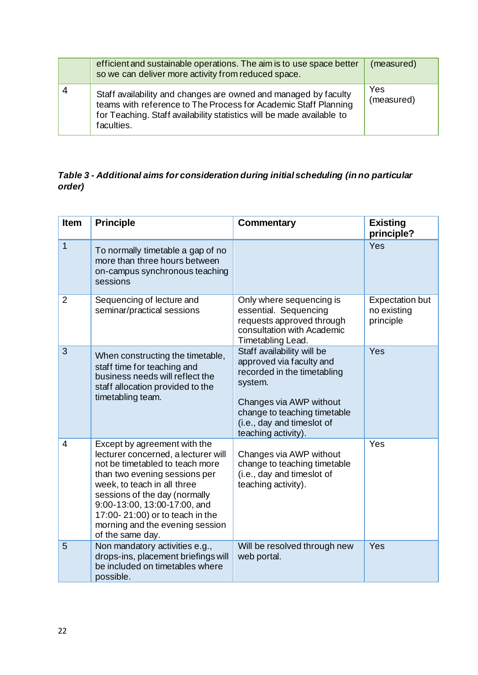| efficient and sustainable operations. The aim is to use space better<br>so we can deliver more activity from reduced space.                                                                                               | (measured)        |
|---------------------------------------------------------------------------------------------------------------------------------------------------------------------------------------------------------------------------|-------------------|
| Staff availability and changes are owned and managed by faculty<br>teams with reference to The Process for Academic Staff Planning<br>for Teaching. Staff availability statistics will be made available to<br>faculties. | Yes<br>(measured) |

## *Table 3 - Additional aims for consideration during initial scheduling (in no particular order)*

| <b>Item</b>    | <b>Principle</b>                                                                                                                                                                                                                                                                                                                  | <b>Commentary</b>                                                                                                                                                                                                | <b>Existing</b><br>principle?                      |
|----------------|-----------------------------------------------------------------------------------------------------------------------------------------------------------------------------------------------------------------------------------------------------------------------------------------------------------------------------------|------------------------------------------------------------------------------------------------------------------------------------------------------------------------------------------------------------------|----------------------------------------------------|
| $\mathbf{1}$   | To normally timetable a gap of no<br>more than three hours between<br>on-campus synchronous teaching<br>sessions                                                                                                                                                                                                                  |                                                                                                                                                                                                                  | Yes                                                |
| $\overline{2}$ | Sequencing of lecture and<br>seminar/practical sessions                                                                                                                                                                                                                                                                           | Only where sequencing is<br>essential. Sequencing<br>requests approved through<br>consultation with Academic<br>Timetabling Lead.                                                                                | <b>Expectation but</b><br>no existing<br>principle |
| 3              | When constructing the timetable,<br>staff time for teaching and<br>business needs will reflect the<br>staff allocation provided to the<br>timetabling team.                                                                                                                                                                       | Staff availability will be<br>approved via faculty and<br>recorded in the timetabling<br>system.<br>Changes via AWP without<br>change to teaching timetable<br>(i.e., day and timeslot of<br>teaching activity). | Yes                                                |
| $\overline{4}$ | Except by agreement with the<br>lecturer concerned, a lecturer will<br>not be timetabled to teach more<br>than two evening sessions per<br>week, to teach in all three<br>sessions of the day (normally<br>9:00-13:00, 13:00-17:00, and<br>17:00-21:00) or to teach in the<br>morning and the evening session<br>of the same day. | Changes via AWP without<br>change to teaching timetable<br>(i.e., day and timeslot of<br>teaching activity).                                                                                                     | Yes                                                |
| 5              | Non mandatory activities e.g.,<br>drops-ins, placement briefings will<br>be included on timetables where<br>possible.                                                                                                                                                                                                             | Will be resolved through new<br>web portal.                                                                                                                                                                      | Yes                                                |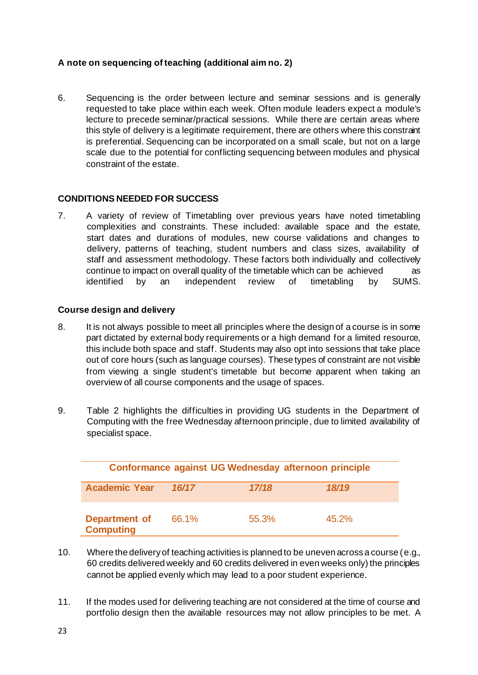## **A note on sequencing of teaching (additional aim no. 2)**

6. Sequencing is the order between lecture and seminar sessions and is generally requested to take place within each week. Often module leaders expect a module's lecture to precede seminar/practical sessions. While there are certain areas where this style of delivery is a legitimate requirement, there are others where this constraint is preferential. Sequencing can be incorporated on a small scale, but not on a large scale due to the potential for conflicting sequencing between modules and physical constraint of the estate.

## **CONDITIONS NEEDED FOR SUCCESS**

7. A variety of review of Timetabling over previous years have noted timetabling complexities and constraints. These included: available space and the estate, start dates and durations of modules, new course validations and changes to delivery, patterns of teaching, student numbers and class sizes, availability of staff and assessment methodology. These factors both individually and collectively continue to impact on overall quality of the timetable which can be achieved as identified by an independent review of timetabling by SUMS.

### **Course design and delivery**

- 8. It is not always possible to meet all principles where the design of a course is in some part dictated by external body requirements or a high demand for a limited resource, this include both space and staff. Students may also opt into sessions that take place out of core hours (such as language courses). These types of constraint are not visible from viewing a single student's timetable but become apparent when taking an overview of all course components and the usage of spaces.
- 9. Table 2 highlights the difficulties in providing UG students in the Department of Computing with the free Wednesday afternoon principle, due to limited availability of specialist space.

|                                   |       |       | Conformance against UG Wednesday afternoon principle |
|-----------------------------------|-------|-------|------------------------------------------------------|
| <b>Academic Year</b>              | 16/17 | 17/18 | 18/19                                                |
| Department of<br><b>Computing</b> | 66.1% | 55.3% | 45.2%                                                |

- 10. Where the delivery of teaching activities is planned to be uneven across a course (e.g., 60 credits delivered weekly and 60 credits delivered in even weeks only) the principles cannot be applied evenly which may lead to a poor student experience.
- 11. If the modes used for delivering teaching are not considered at the time of course and portfolio design then the available resources may not allow principles to be met. A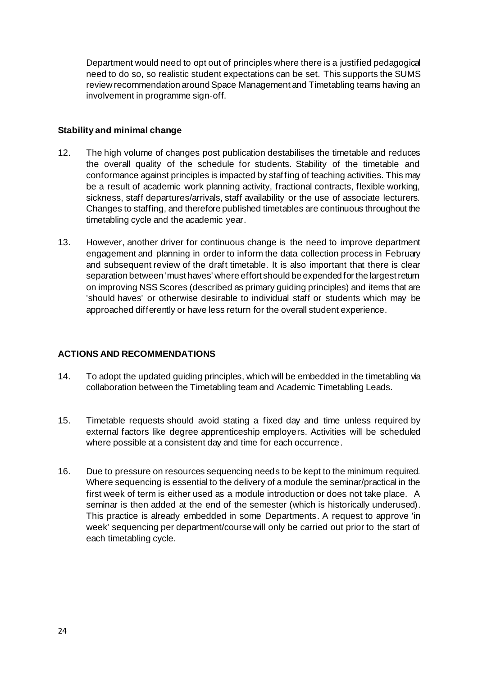Department would need to opt out of principles where there is a justified pedagogical need to do so, so realistic student expectations can be set. This supports the SUMS review recommendation around Space Management and Timetabling teams having an involvement in programme sign-off.

### **Stability and minimal change**

- 12. The high volume of changes post publication destabilises the timetable and reduces the overall quality of the schedule for students. Stability of the timetable and conformance against principles is impacted by staffing of teaching activities. This may be a result of academic work planning activity, fractional contracts, flexible working, sickness, staff departures/arrivals, staff availability or the use of associate lecturers. Changes to staffing, and therefore published timetables are continuous throughout the timetabling cycle and the academic year.
- 13. However, another driver for continuous change is the need to improve department engagement and planning in order to inform the data collection process in February and subsequent review of the draft timetable. It is also important that there is clear separation between 'must haves' where effort should be expended for the largest return on improving NSS Scores (described as primary guiding principles) and items that are 'should haves' or otherwise desirable to individual staff or students which may be approached differently or have less return for the overall student experience.

## **ACTIONS AND RECOMMENDATIONS**

- 14. To adopt the updated guiding principles, which will be embedded in the timetabling via collaboration between the Timetabling team and Academic Timetabling Leads.
- 15. Timetable requests should avoid stating a fixed day and time unless required by external factors like degree apprenticeship employers. Activities will be scheduled where possible at a consistent day and time for each occurrence.
- 16. Due to pressure on resources sequencing needs to be kept to the minimum required. Where sequencing is essential to the delivery of a module the seminar/practical in the first week of term is either used as a module introduction or does not take place. A seminar is then added at the end of the semester (which is historically underused). This practice is already embedded in some Departments. A request to approve 'in week' sequencing per department/course will only be carried out prior to the start of each timetabling cycle.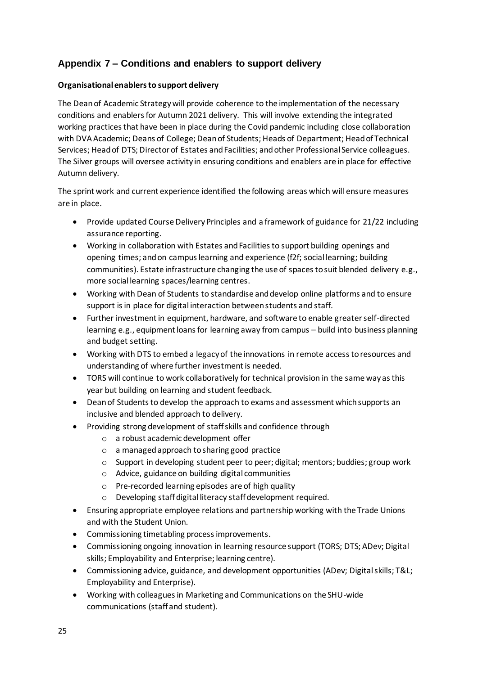## <span id="page-24-0"></span>**Appendix 7 – Conditions and enablers to support delivery**

### **Organisational enablers to support delivery**

The Dean of Academic Strategy will provide coherence to the implementation of the necessary conditions and enablers for Autumn 2021 delivery. This will involve extending the integrated working practices that have been in place during the Covid pandemic including close collaboration with DVA Academic; Deans of College; Dean of Students; Heads of Department; Head of Technical Services; Head of DTS; Director of Estates and Facilities; and other Professional Service colleagues. The Silver groups will oversee activity in ensuring conditions and enablers are in place for effective Autumn delivery.

The sprint work and current experience identified the following areas which will ensure measures are in place.

- Provide updated Course Delivery Principles and a framework of guidance for 21/22 including assurance reporting.
- Working in collaboration with Estates and Facilities to support building openings and opening times; and on campus learning and experience (f2f; social learning; building communities). Estate infrastructure changing the use of spaces to suit blended delivery e.g., more social learning spaces/learning centres.
- Working with Dean of Students to standardise and develop online platforms and to ensure support is in place for digital interaction between students and staff.
- Further investment in equipment, hardware, and software to enable greater self-directed learning e.g., equipment loans for learning away from campus – build into business planning and budget setting.
- Working with DTS to embed a legacy of the innovations in remote access to resources and understanding of where further investment is needed.
- TORS will continue to work collaboratively for technical provision in the same way as this year but building on learning and student feedback.
- Dean of Students to develop the approach to exams and assessment which supports an inclusive and blended approach to delivery.
- Providing strong development of staff skills and confidence through
	- o a robust academic development offer
	- o a managed approach to sharing good practice
	- o Support in developing student peer to peer; digital; mentors; buddies; group work
	- o Advice, guidance on building digital communities
	- o Pre-recorded learning episodes are of high quality
	- o Developing staff digital literacy staff development required.
- Ensuring appropriate employee relations and partnership working with the Trade Unions and with the Student Union.
- Commissioning timetabling process improvements.
- Commissioning ongoing innovation in learning resource support (TORS; DTS; ADev; Digital skills; Employability and Enterprise; learning centre).
- Commissioning advice, guidance, and development opportunities (ADev; Digital skills; T&L; Employability and Enterprise).
- Working with colleagues in Marketing and Communications on the SHU-wide communications (staff and student).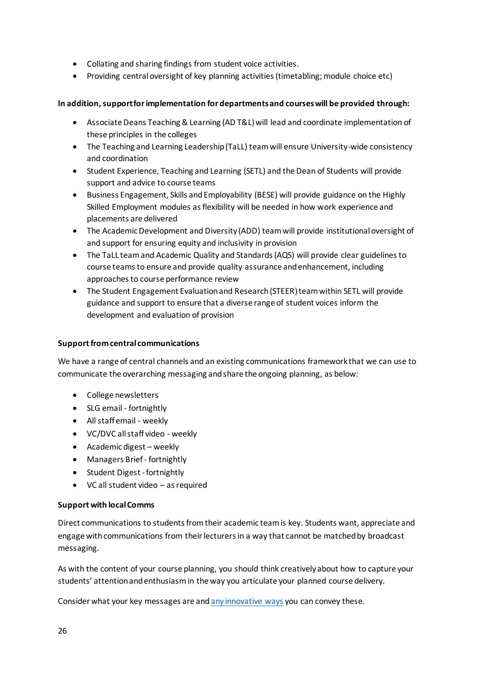- Collating and sharing findings from student voice activities.
- Providing central oversight of key planning activities (timetabling; module choice etc)

### **In addition, support for implementation for departments and courses will be provided through:**

- Associate Deans Teaching & Learning (AD T&L) will lead and coordinate implementation of these principles in the colleges
- The Teaching and Learning Leadership (TaLL) team will ensure University-wide consistency and coordination
- Student Experience, Teaching and Learning (SETL) and the Dean of Students will provide support and advice to course teams
- Business Engagement, Skills and Employability (BESE) will provide guidance on the Highly Skilled Employment modules as flexibility will be needed in how work experience and placements are delivered
- The Academic Development and Diversity (ADD) team will provide institutional oversight of and support for ensuring equity and inclusivity in provision
- The TaLL team and Academic Quality and Standards (AQS) will provide clear guidelines to course teams to ensure and provide quality assurance and enhancement, including approaches to course performance review
- The Student Engagement Evaluation and Research (STEER) team within SETL will provide guidance and support to ensure that a diverse range of student voices inform the development and evaluation of provision

### **Support from central communications**

We have a range of central channels and an existing communications framework that we can use to communicate the overarching messaging and share the ongoing planning, as below:

- College newsletters
- SLG email fortnightly
- All staff email weekly
- VC/DVC all staff video weekly
- Academic digest weekly
- Managers Brief fortnightly
- Student Digest -fortnightly
- VC all student video as required

### **Support with local Comms**

Direct communications to students from their academic team is key. Students want, appreciate and engage with communications from their lecturers in a way that cannot be matched by broadcast messaging.

As with the content of your course planning, you should think creatively about how to capture your students' attention and enthusiasm in the way you articulate your planned course delivery.

Consider what your key messages are an[d any innovative ways](https://sheffieldhallam.sharepoint.com/sites/3029/SitePages/IC-Toolkit.aspx) you can convey these.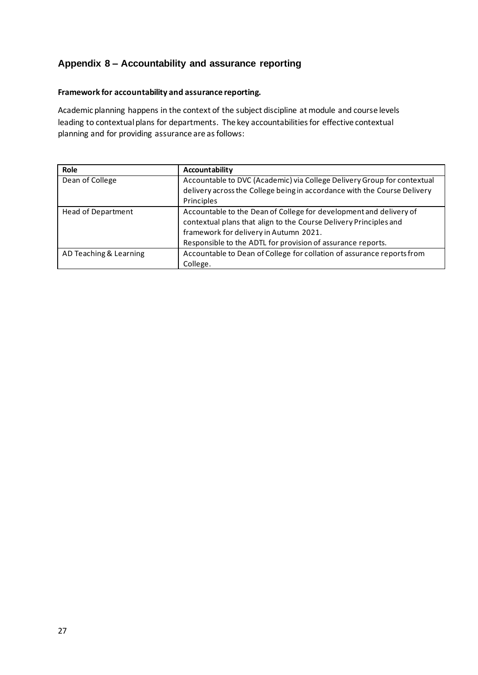## <span id="page-26-0"></span>**Appendix 8 – Accountability and assurance reporting**

#### **Framework for accountability and assurance reporting.**

Academic planning happens in the context of the subject discipline at module and course levels leading to contextual plans for departments. The key accountabilities for effective contextual planning and for providing assurance are as follows:

| Role                      | Accountability                                                           |
|---------------------------|--------------------------------------------------------------------------|
| Dean of College           | Accountable to DVC (Academic) via College Delivery Group for contextual  |
|                           | delivery across the College being in accordance with the Course Delivery |
|                           | Principles                                                               |
| <b>Head of Department</b> | Accountable to the Dean of College for development and delivery of       |
|                           | contextual plans that align to the Course Delivery Principles and        |
|                           | framework for delivery in Autumn 2021.                                   |
|                           | Responsible to the ADTL for provision of assurance reports.              |
| AD Teaching & Learning    | Accountable to Dean of College for collation of assurance reports from   |
|                           | College.                                                                 |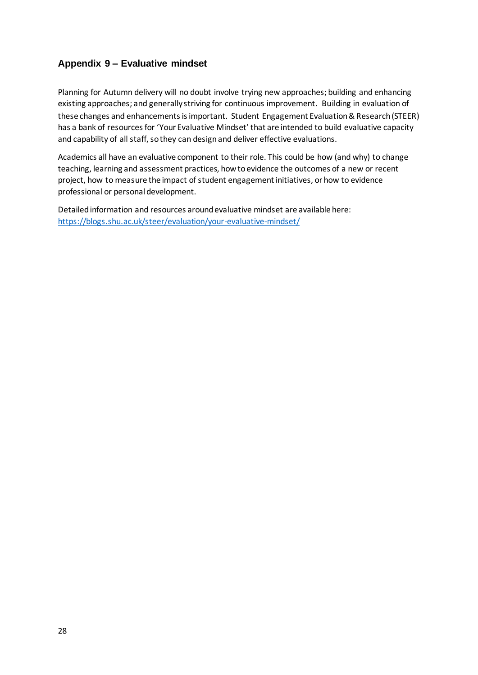## <span id="page-27-0"></span>**Appendix 9 – Evaluative mindset**

Planning for Autumn delivery will no doubt involve trying new approaches; building and enhancing existing approaches; and generally striving for continuous improvement. Building in evaluation of these changes and enhancements is important. Student Engagement Evaluation & Research (STEER) has a bank of resources for 'Your Evaluative Mindset' that are intended to build evaluative capacity and capability of all staff, so they can design and deliver effective evaluations.

Academics all have an evaluative component to their role. This could be how (and why) to change teaching, learning and assessment practices, how to evidence the outcomes of a new or recent project, how to measure the impact of student engagement initiatives, or how to evidence professional or personal development.

Detailed information and resources around evaluative mindset are available here: <https://blogs.shu.ac.uk/steer/evaluation/your-evaluative-mindset/>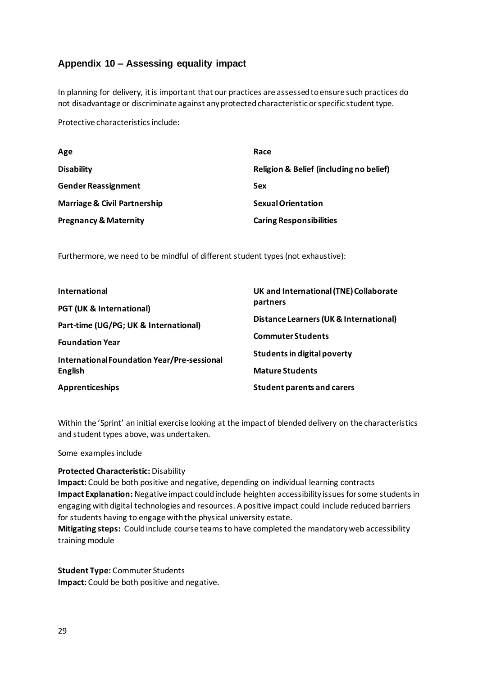## <span id="page-28-0"></span>**Appendix 10 – Assessing equality impact**

In planning for delivery, it is important that our practices are assessed to ensure such practices do not disadvantage or discriminate against any protected characteristic or specific student type.

Protective characteristics include:

| Age                                     | Race                                    |
|-----------------------------------------|-----------------------------------------|
| <b>Disability</b>                       | Religion & Belief (including no belief) |
| <b>Gender Reassignment</b>              | Sex                                     |
| <b>Marriage &amp; Civil Partnership</b> | <b>Sexual Orientation</b>               |
| <b>Pregnancy &amp; Maternity</b>        | <b>Caring Responsibilities</b>          |

Furthermore, we need to be mindful of different student types (not exhaustive):

| International                                                                | UK and International (TNE) Collaborate<br>partners<br>Distance Learners (UK & International) |  |
|------------------------------------------------------------------------------|----------------------------------------------------------------------------------------------|--|
| <b>PGT (UK &amp; International)</b><br>Part-time (UG/PG; UK & International) |                                                                                              |  |
| <b>Foundation Year</b>                                                       | <b>Commuter Students</b>                                                                     |  |
| International Foundation Year/Pre-sessional                                  | Students in digital poverty                                                                  |  |
| <b>English</b>                                                               | <b>Mature Students</b>                                                                       |  |
| Apprenticeships                                                              | <b>Student parents and carers</b>                                                            |  |

Within the 'Sprint' an initial exercise looking at the impact of blended delivery on the characteristics and student types above, was undertaken.

Some examples include

### **Protected Characteristic:** Disability

**Impact:** Could be both positive and negative, depending on individual learning contracts **Impact Explanation:** Negative impact could include heighten accessibility issues for some students in engaging with digital technologies and resources. A positive impact could include reduced barriers for students having to engage with the physical university estate.

**Mitigating steps:** Could include course teams to have completed the mandatory web accessibility training module

**Student Type:** Commuter Students **Impact:** Could be both positive and negative.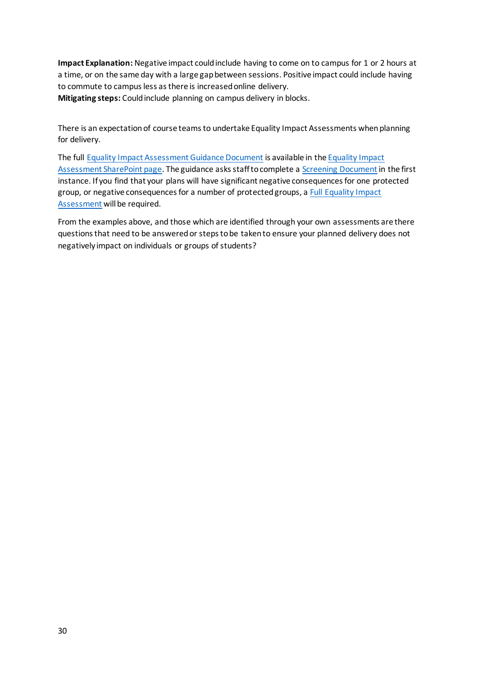**Impact Explanation:** Negative impact could include having to come on to campus for 1 or 2 hours at a time, or on the same day with a large gap between sessions. Positive impact could include having to commute to campus less as there is increased online delivery. **Mitigating steps:** Could include planning on campus delivery in blocks.

There is an expectation of course teams to undertake Equality Impact Assessments when planning for delivery.

The full [Equality Impact Assessment Guidance Document](https://sheffieldhallam.sharepoint.com/sites/3005/equality/Documents/Forms/AllItems.aspx?id=%2Fsites%2F3005%2Fequality%2FDocuments%2FEquality%20Assessment%20Impact%20Guidance%2Epdf&parent=%2Fsites%2F3005%2Fequality%2FDocuments&p=true&originalPath=aHR0cHM6Ly9zaGVmZmllbGRoYWxsYW0uc2hhcmVwb2ludC5jb20vOmI6L3MvMzAwNS9lcXVhbGl0eS9FZWFscDVsSFBubFBsdFlOTGxvc3pqZ0JuMDdFTVNpX3lXYy1CSTFxS29QZTVnP3J0aW1lPTBtemMxaXZwMkVn) is available in th[e Equality Impact](https://sheffieldhallam.sharepoint.com/sites/3005/equality/SitePages/Equality-Impact-Assessment.aspx)  [Assessment SharePoint page.](https://sheffieldhallam.sharepoint.com/sites/3005/equality/SitePages/Equality-Impact-Assessment.aspx) The guidance asks staff to complete a [Screening Document](https://sheffieldhallam.sharepoint.com/:w:/s/3005/equality/Eb5RadlYoE5OgKafKsIS9fwBAOLqKGZB6QrJk3Tz9VeEnQ?e=JkHSaM) in the first instance. If you find that your plans will have significant negative consequences for one protected group, or negative consequences for a number of protected groups, [a Full Equality Impact](https://sheffieldhallam.sharepoint.com/:w:/s/3005/equality/ESKqesVtjCJHsna4luZAgv0BIuUuKIKd--DErPnYdNKdCA?e=djEvYM%3Fdownload%3D1)  [Assessment](https://sheffieldhallam.sharepoint.com/:w:/s/3005/equality/ESKqesVtjCJHsna4luZAgv0BIuUuKIKd--DErPnYdNKdCA?e=djEvYM%3Fdownload%3D1) will be required.

From the examples above, and those which are identified through your own assessments are there questions that need to be answered or steps to be taken to ensure your planned delivery does not negatively impact on individuals or groups of students?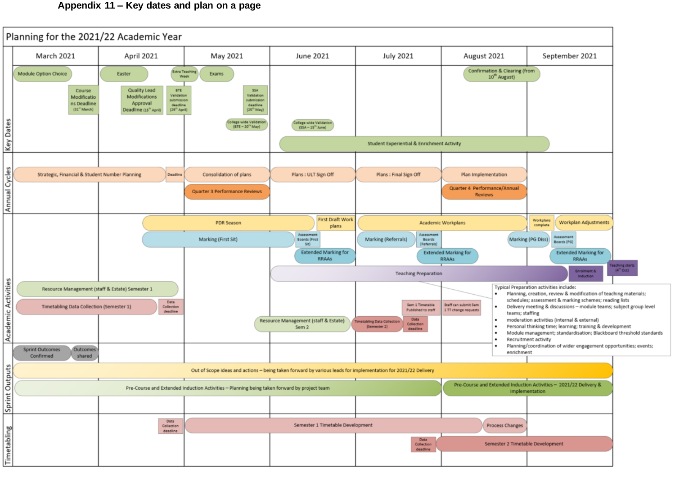## **Appendix 11 – Key dates and plan on a page**

<span id="page-30-0"></span>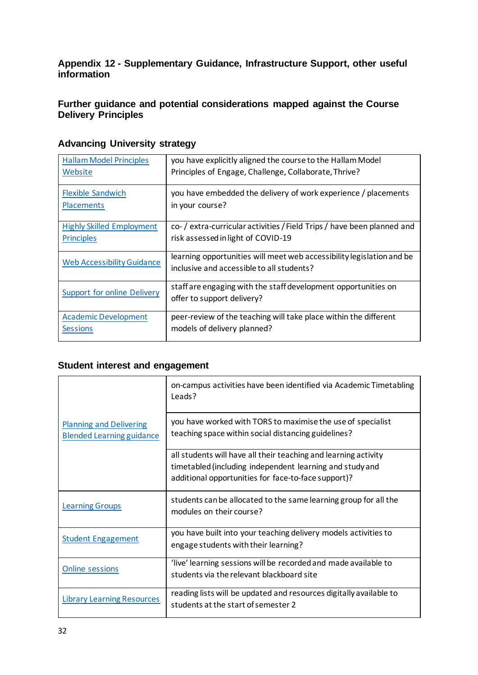<span id="page-31-0"></span>**Appendix 12 - Supplementary Guidance, Infrastructure Support, other useful information**

## <span id="page-31-1"></span>**Further guidance and potential considerations mapped against the Course Delivery Principles**

| <b>Hallam Model Principles</b>     | you have explicitly aligned the course to the Hallam Model                                                         |
|------------------------------------|--------------------------------------------------------------------------------------------------------------------|
| Website                            | Principles of Engage, Challenge, Collaborate, Thrive?                                                              |
| <b>Flexible Sandwich</b>           | you have embedded the delivery of work experience / placements                                                     |
| <b>Placements</b>                  | in your course?                                                                                                    |
| <b>Highly Skilled Employment</b>   | co- / extra-curricular activities / Field Trips / have been planned and                                            |
| <b>Principles</b>                  | risk assessed in light of COVID-19                                                                                 |
| <b>Web Accessibility Guidance</b>  | learning opportunities will meet web accessibility legislation and be<br>inclusive and accessible to all students? |
| <b>Support for online Delivery</b> | staff are engaging with the staff development opportunities on<br>offer to support delivery?                       |
| <b>Academic Development</b>        | peer-review of the teaching will take place within the different                                                   |
| <b>Sessions</b>                    | models of delivery planned?                                                                                        |

## **Advancing University strategy**

## **Student interest and engagement**

|                                                                    | on-campus activities have been identified via Academic Timetabling<br>Leads?                                                                                                       |
|--------------------------------------------------------------------|------------------------------------------------------------------------------------------------------------------------------------------------------------------------------------|
| <b>Planning and Delivering</b><br><b>Blended Learning guidance</b> | you have worked with TORS to maximise the use of specialist<br>teaching space within social distancing guidelines?                                                                 |
|                                                                    | all students will have all their teaching and learning activity<br>timetabled (including independent learning and study and<br>additional opportunities for face-to-face support)? |
| <b>Learning Groups</b>                                             | students can be allocated to the same learning group for all the<br>modules on their course?                                                                                       |
| <b>Student Engagement</b>                                          | you have built into your teaching delivery models activities to<br>engage students with their learning?                                                                            |
| <b>Online sessions</b>                                             | 'live' learning sessions will be recorded and made available to<br>students via the relevant blackboard site                                                                       |
| <b>Library Learning Resources</b>                                  | reading lists will be updated and resources digitally available to<br>students at the start of semester 2                                                                          |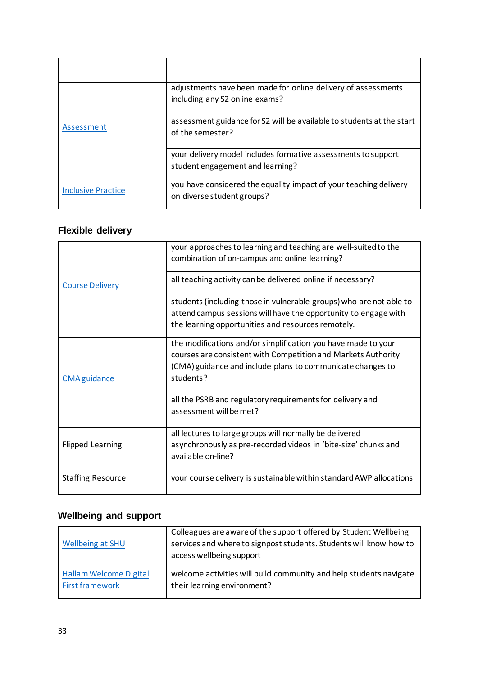| Assessment                | adjustments have been made for online delivery of assessments<br>including any S2 online exams?   |
|---------------------------|---------------------------------------------------------------------------------------------------|
|                           | assessment guidance for S2 will be available to students at the start<br>of the semester?         |
|                           | your delivery model includes formative assessments to support<br>student engagement and learning? |
| <b>Inclusive Practice</b> | you have considered the equality impact of your teaching delivery<br>on diverse student groups?   |

# **Flexible delivery**

| <b>Course Delivery</b>   | your approaches to learning and teaching are well-suited to the<br>combination of on-campus and online learning?                                                                                          |  |
|--------------------------|-----------------------------------------------------------------------------------------------------------------------------------------------------------------------------------------------------------|--|
|                          | all teaching activity can be delivered online if necessary?                                                                                                                                               |  |
|                          | students (including those in vulnerable groups) who are not able to<br>attend campus sessions will have the opportunity to engage with<br>the learning opportunities and resources remotely.              |  |
| <b>CMA</b> guidance      | the modifications and/or simplification you have made to your<br>courses are consistent with Competition and Markets Authority<br>(CMA) guidance and include plans to communicate changes to<br>students? |  |
|                          | all the PSRB and regulatory requirements for delivery and<br>assessment will be met?                                                                                                                      |  |
| <b>Flipped Learning</b>  | all lectures to large groups will normally be delivered<br>asynchronously as pre-recorded videos in 'bite-size' chunks and<br>available on-line?                                                          |  |
| <b>Staffing Resource</b> | your course delivery is sustainable within standard AWP allocations                                                                                                                                       |  |

# **Wellbeing and support**

| Wellbeing at SHU              | Colleagues are aware of the support offered by Student Wellbeing<br>services and where to signpost students. Students will know how to<br>access wellbeing support |
|-------------------------------|--------------------------------------------------------------------------------------------------------------------------------------------------------------------|
| <b>Hallam Welcome Digital</b> | welcome activities will build community and help students navigate                                                                                                 |
| <b>First framework</b>        | their learning environment?                                                                                                                                        |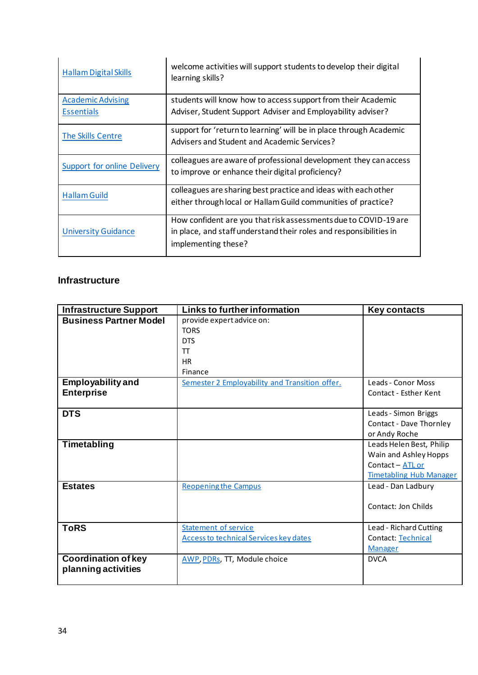| <b>Hallam Digital Skills</b>                  | welcome activities will support students to develop their digital<br>learning skills?                                                                        |
|-----------------------------------------------|--------------------------------------------------------------------------------------------------------------------------------------------------------------|
| <b>Academic Advising</b><br><b>Essentials</b> | students will know how to access support from their Academic<br>Adviser, Student Support Adviser and Employability adviser?                                  |
| The Skills Centre                             | support for 'return to learning' will be in place through Academic<br>Advisers and Student and Academic Services?                                            |
| Support for online Delivery                   | colleagues are aware of professional development they can access<br>to improve or enhance their digital proficiency?                                         |
| <b>Hallam Guild</b>                           | colleagues are sharing best practice and ideas with each other<br>either through local or Hallam Guild communities of practice?                              |
| <b>University Guidance</b>                    | How confident are you that risk assessments due to COVID-19 are<br>in place, and staff understand their roles and responsibilities in<br>implementing these? |

## <span id="page-33-0"></span>**Infrastructure**

| <b>Infrastructure Support</b> | Links to further information                   | <b>Key contacts</b>            |
|-------------------------------|------------------------------------------------|--------------------------------|
| <b>Business Partner Model</b> | provide expert advice on:                      |                                |
|                               | <b>TORS</b>                                    |                                |
|                               | <b>DTS</b>                                     |                                |
|                               | π                                              |                                |
|                               | <b>HR</b>                                      |                                |
|                               | Finance                                        |                                |
| <b>Employability and</b>      | Semester 2 Employability and Transition offer. | Leads - Conor Moss             |
| <b>Enterprise</b>             |                                                | Contact - Esther Kent          |
|                               |                                                |                                |
| <b>DTS</b>                    |                                                | Leads - Simon Briggs           |
|                               |                                                | Contact - Dave Thornley        |
|                               |                                                | or Andy Roche                  |
| Timetabling                   |                                                | Leads Helen Best, Philip       |
|                               |                                                | Wain and Ashley Hopps          |
|                               |                                                | Contact - ATL or               |
|                               |                                                | <b>Timetabling Hub Manager</b> |
| <b>Estates</b>                | <b>Reopening the Campus</b>                    | Lead - Dan Ladbury             |
|                               |                                                |                                |
|                               |                                                | Contact: Jon Childs            |
|                               |                                                |                                |
| <b>ToRS</b>                   | <b>Statement of service</b>                    | Lead - Richard Cutting         |
|                               | <b>Access to technical Services key dates</b>  | Contact: Technical             |
|                               |                                                | <b>Manager</b>                 |
| <b>Coordination of key</b>    | <b>AWP, PDRs, TT, Module choice</b>            | <b>DVCA</b>                    |
| planning activities           |                                                |                                |
|                               |                                                |                                |